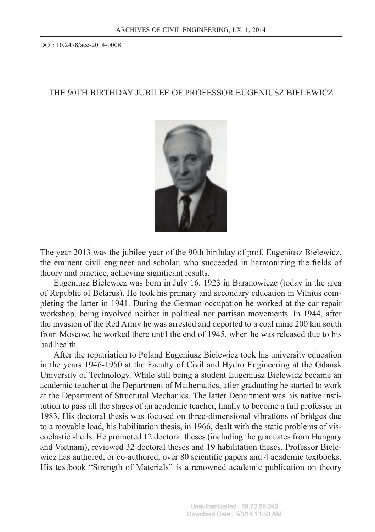DOI: 10.2478/ace-2014-0008

## THE 90TH BIRTHDAY JUBILEE OF PROFESSOR EUGENIUSZ BIELEWICZ



The year 2013 was the jubilee year of the 90th birthday of prof. Eugeniusz Bielewicz, the eminent civil engineer and scholar, who succeeded in harmonizing the fields of theory and practice, achieving significant results.

Eugeniusz Bielewicz was born in July 16, 1923 in Baranowicze (today in the area of Republic of Belarus). He took his primary and secondary education in Vilnius completing the latter in 1941. During the German occupation he worked at the car repair workshop, being involved neither in political nor partisan movements. In 1944, after the invasion of the Red Army he was arrested and deported to a coal mine 200 km south from Moscow, he worked there until the end of 1945, when he was released due to his bad health.

After the repatriation to Poland Eugeniusz Bielewicz took his university education in the years 1946-1950 at the Faculty of Civil and Hydro Engineering at the Gdansk University of Technology. While still being a student Eugeniusz Bielewicz became an academic teacher at the Department of Mathematics, after graduating he started to work at the Department of Structural Mechanics. The latter Department was his native institution to pass all the stages of an academic teacher, finally to become a full professor in 1983. His doctoral thesis was focused on three-dimensional vibrations of bridges due to a movable load, his habilitation thesis, in 1966, dealt with the static problems of viscoelastic shells. He promoted 12 doctoral theses (including the graduates from Hungary and Vietnam), reviewed 32 doctoral theses and 19 habilitation theses. Professor Bielewicz has authored, or co-authored, over 80 scientific papers and 4 academic textbooks. His textbook "Strength of Materials" is a renowned academic publication on theory